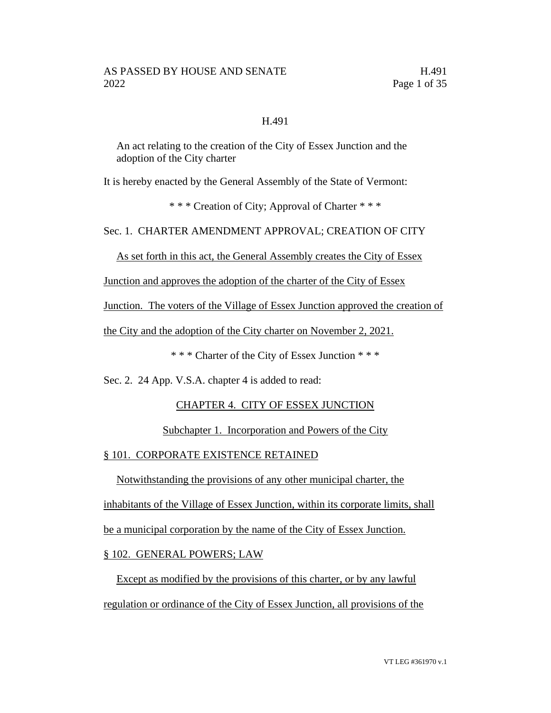### H.491

An act relating to the creation of the City of Essex Junction and the adoption of the City charter

It is hereby enacted by the General Assembly of the State of Vermont:

\* \* \* Creation of City; Approval of Charter \* \* \*

Sec. 1. CHARTER AMENDMENT APPROVAL; CREATION OF CITY

As set forth in this act, the General Assembly creates the City of Essex

Junction and approves the adoption of the charter of the City of Essex

Junction. The voters of the Village of Essex Junction approved the creation of

the City and the adoption of the City charter on November 2, 2021.

\* \* \* Charter of the City of Essex Junction \* \* \*

Sec. 2. 24 App. V.S.A. chapter 4 is added to read:

# CHAPTER 4. CITY OF ESSEX JUNCTION

### Subchapter 1. Incorporation and Powers of the City

### § 101. CORPORATE EXISTENCE RETAINED

Notwithstanding the provisions of any other municipal charter, the

inhabitants of the Village of Essex Junction, within its corporate limits, shall

be a municipal corporation by the name of the City of Essex Junction.

# § 102. GENERAL POWERS; LAW

Except as modified by the provisions of this charter, or by any lawful regulation or ordinance of the City of Essex Junction, all provisions of the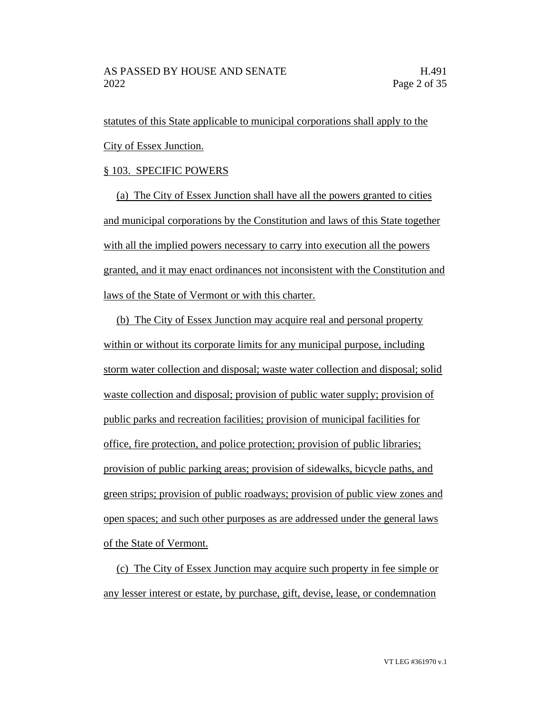statutes of this State applicable to municipal corporations shall apply to the City of Essex Junction.

### § 103. SPECIFIC POWERS

(a) The City of Essex Junction shall have all the powers granted to cities and municipal corporations by the Constitution and laws of this State together with all the implied powers necessary to carry into execution all the powers granted, and it may enact ordinances not inconsistent with the Constitution and laws of the State of Vermont or with this charter.

(b) The City of Essex Junction may acquire real and personal property within or without its corporate limits for any municipal purpose, including storm water collection and disposal; waste water collection and disposal; solid waste collection and disposal; provision of public water supply; provision of public parks and recreation facilities; provision of municipal facilities for office, fire protection, and police protection; provision of public libraries; provision of public parking areas; provision of sidewalks, bicycle paths, and green strips; provision of public roadways; provision of public view zones and open spaces; and such other purposes as are addressed under the general laws of the State of Vermont.

(c) The City of Essex Junction may acquire such property in fee simple or any lesser interest or estate, by purchase, gift, devise, lease, or condemnation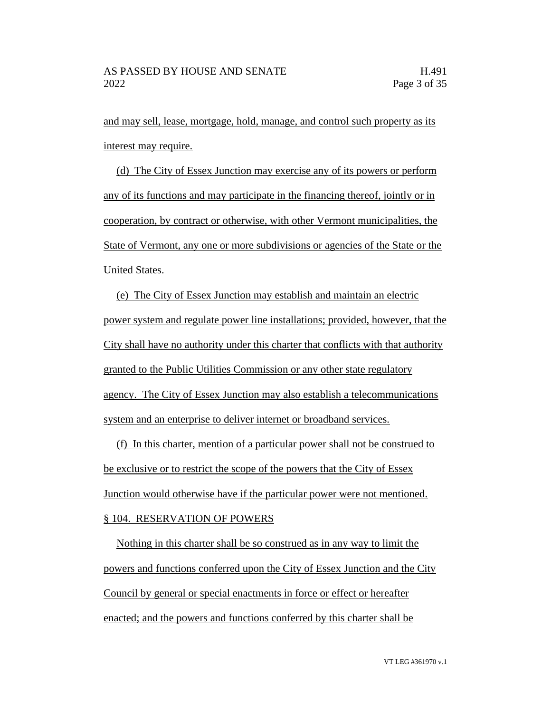and may sell, lease, mortgage, hold, manage, and control such property as its interest may require.

(d) The City of Essex Junction may exercise any of its powers or perform any of its functions and may participate in the financing thereof, jointly or in cooperation, by contract or otherwise, with other Vermont municipalities, the State of Vermont, any one or more subdivisions or agencies of the State or the United States.

(e) The City of Essex Junction may establish and maintain an electric power system and regulate power line installations; provided, however, that the City shall have no authority under this charter that conflicts with that authority granted to the Public Utilities Commission or any other state regulatory agency. The City of Essex Junction may also establish a telecommunications system and an enterprise to deliver internet or broadband services.

(f) In this charter, mention of a particular power shall not be construed to be exclusive or to restrict the scope of the powers that the City of Essex Junction would otherwise have if the particular power were not mentioned. § 104. RESERVATION OF POWERS

Nothing in this charter shall be so construed as in any way to limit the powers and functions conferred upon the City of Essex Junction and the City Council by general or special enactments in force or effect or hereafter enacted; and the powers and functions conferred by this charter shall be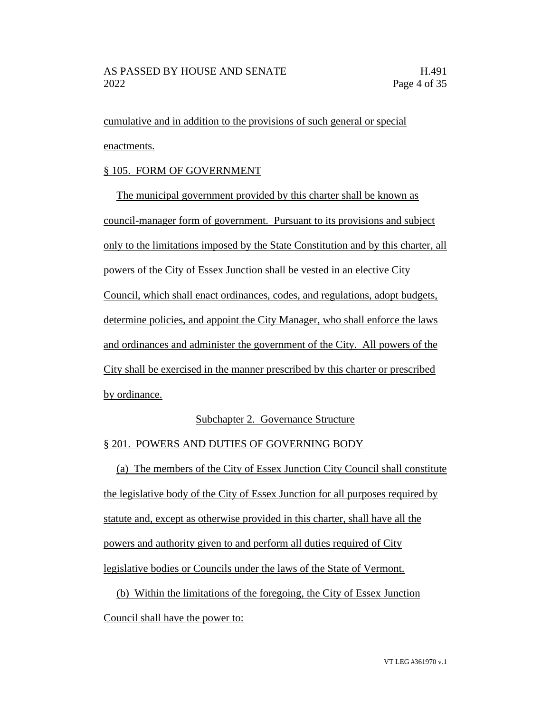cumulative and in addition to the provisions of such general or special enactments.

# § 105. FORM OF GOVERNMENT

The municipal government provided by this charter shall be known as council-manager form of government. Pursuant to its provisions and subject only to the limitations imposed by the State Constitution and by this charter, all powers of the City of Essex Junction shall be vested in an elective City Council, which shall enact ordinances, codes, and regulations, adopt budgets, determine policies, and appoint the City Manager, who shall enforce the laws and ordinances and administer the government of the City. All powers of the City shall be exercised in the manner prescribed by this charter or prescribed by ordinance.

# Subchapter 2. Governance Structure

# § 201. POWERS AND DUTIES OF GOVERNING BODY

(a) The members of the City of Essex Junction City Council shall constitute the legislative body of the City of Essex Junction for all purposes required by statute and, except as otherwise provided in this charter, shall have all the powers and authority given to and perform all duties required of City legislative bodies or Councils under the laws of the State of Vermont.

(b) Within the limitations of the foregoing, the City of Essex Junction Council shall have the power to: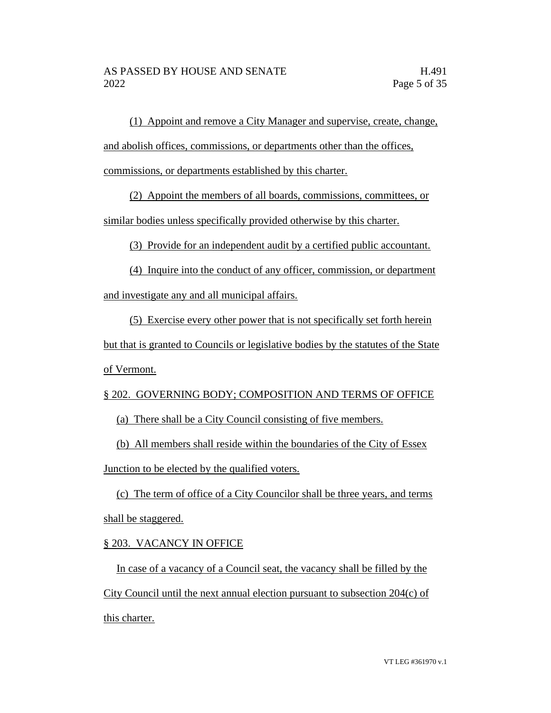(1) Appoint and remove a City Manager and supervise, create, change, and abolish offices, commissions, or departments other than the offices, commissions, or departments established by this charter.

(2) Appoint the members of all boards, commissions, committees, or

similar bodies unless specifically provided otherwise by this charter.

(3) Provide for an independent audit by a certified public accountant.

(4) Inquire into the conduct of any officer, commission, or department and investigate any and all municipal affairs.

(5) Exercise every other power that is not specifically set forth herein but that is granted to Councils or legislative bodies by the statutes of the State of Vermont.

# § 202. GOVERNING BODY; COMPOSITION AND TERMS OF OFFICE

(a) There shall be a City Council consisting of five members.

(b) All members shall reside within the boundaries of the City of Essex Junction to be elected by the qualified voters.

(c) The term of office of a City Councilor shall be three years, and terms shall be staggered.

# § 203. VACANCY IN OFFICE

In case of a vacancy of a Council seat, the vacancy shall be filled by the City Council until the next annual election pursuant to subsection 204(c) of this charter.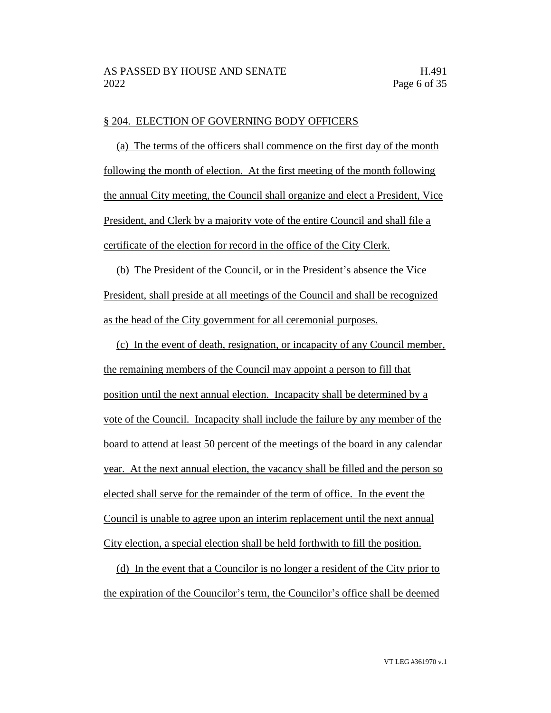#### § 204. ELECTION OF GOVERNING BODY OFFICERS

(a) The terms of the officers shall commence on the first day of the month following the month of election. At the first meeting of the month following the annual City meeting, the Council shall organize and elect a President, Vice President, and Clerk by a majority vote of the entire Council and shall file a certificate of the election for record in the office of the City Clerk.

(b) The President of the Council, or in the President's absence the Vice President, shall preside at all meetings of the Council and shall be recognized as the head of the City government for all ceremonial purposes.

(c) In the event of death, resignation, or incapacity of any Council member, the remaining members of the Council may appoint a person to fill that position until the next annual election. Incapacity shall be determined by a vote of the Council. Incapacity shall include the failure by any member of the board to attend at least 50 percent of the meetings of the board in any calendar year. At the next annual election, the vacancy shall be filled and the person so elected shall serve for the remainder of the term of office. In the event the Council is unable to agree upon an interim replacement until the next annual City election, a special election shall be held forthwith to fill the position.

(d) In the event that a Councilor is no longer a resident of the City prior to the expiration of the Councilor's term, the Councilor's office shall be deemed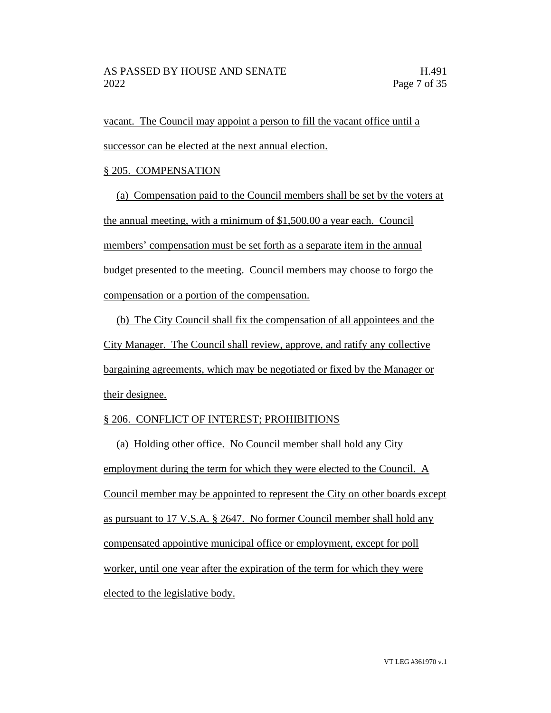vacant. The Council may appoint a person to fill the vacant office until a successor can be elected at the next annual election.

### § 205. COMPENSATION

(a) Compensation paid to the Council members shall be set by the voters at the annual meeting, with a minimum of \$1,500.00 a year each. Council members' compensation must be set forth as a separate item in the annual budget presented to the meeting. Council members may choose to forgo the compensation or a portion of the compensation.

(b) The City Council shall fix the compensation of all appointees and the City Manager. The Council shall review, approve, and ratify any collective bargaining agreements, which may be negotiated or fixed by the Manager or their designee.

# § 206. CONFLICT OF INTEREST; PROHIBITIONS

(a) Holding other office. No Council member shall hold any City employment during the term for which they were elected to the Council. A Council member may be appointed to represent the City on other boards except as pursuant to 17 V.S.A. § 2647. No former Council member shall hold any compensated appointive municipal office or employment, except for poll worker, until one year after the expiration of the term for which they were elected to the legislative body.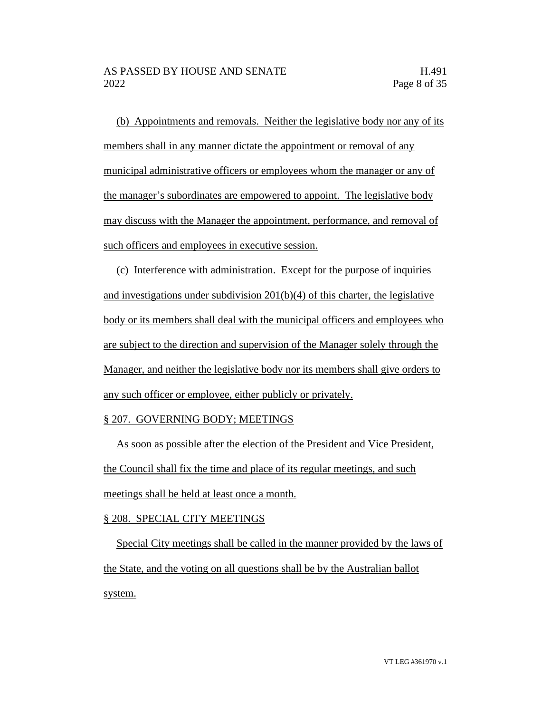(b) Appointments and removals. Neither the legislative body nor any of its members shall in any manner dictate the appointment or removal of any municipal administrative officers or employees whom the manager or any of the manager's subordinates are empowered to appoint. The legislative body may discuss with the Manager the appointment, performance, and removal of such officers and employees in executive session.

(c) Interference with administration. Except for the purpose of inquiries and investigations under subdivision 201(b)(4) of this charter, the legislative body or its members shall deal with the municipal officers and employees who are subject to the direction and supervision of the Manager solely through the Manager, and neither the legislative body nor its members shall give orders to any such officer or employee, either publicly or privately.

### § 207. GOVERNING BODY; MEETINGS

As soon as possible after the election of the President and Vice President, the Council shall fix the time and place of its regular meetings, and such meetings shall be held at least once a month.

# § 208. SPECIAL CITY MEETINGS

Special City meetings shall be called in the manner provided by the laws of the State, and the voting on all questions shall be by the Australian ballot system.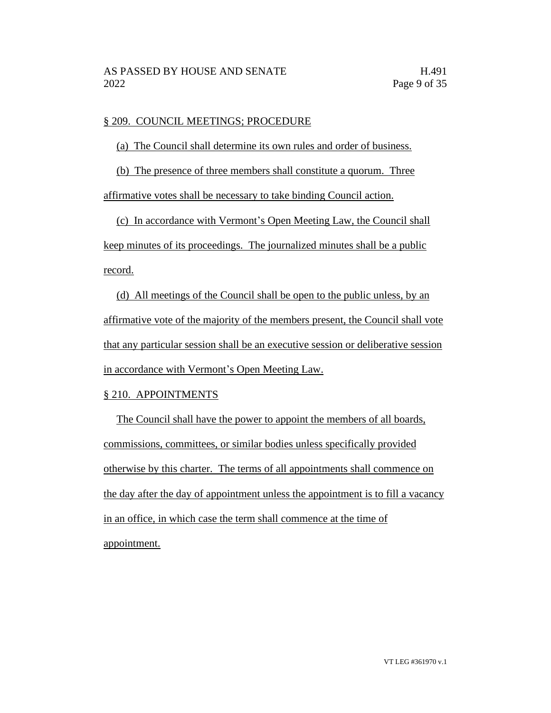# § 209. COUNCIL MEETINGS; PROCEDURE

(a) The Council shall determine its own rules and order of business.

(b) The presence of three members shall constitute a quorum. Three

affirmative votes shall be necessary to take binding Council action.

(c) In accordance with Vermont's Open Meeting Law, the Council shall keep minutes of its proceedings. The journalized minutes shall be a public record.

(d) All meetings of the Council shall be open to the public unless, by an affirmative vote of the majority of the members present, the Council shall vote that any particular session shall be an executive session or deliberative session in accordance with Vermont's Open Meeting Law.

# § 210. APPOINTMENTS

The Council shall have the power to appoint the members of all boards, commissions, committees, or similar bodies unless specifically provided otherwise by this charter. The terms of all appointments shall commence on the day after the day of appointment unless the appointment is to fill a vacancy in an office, in which case the term shall commence at the time of appointment.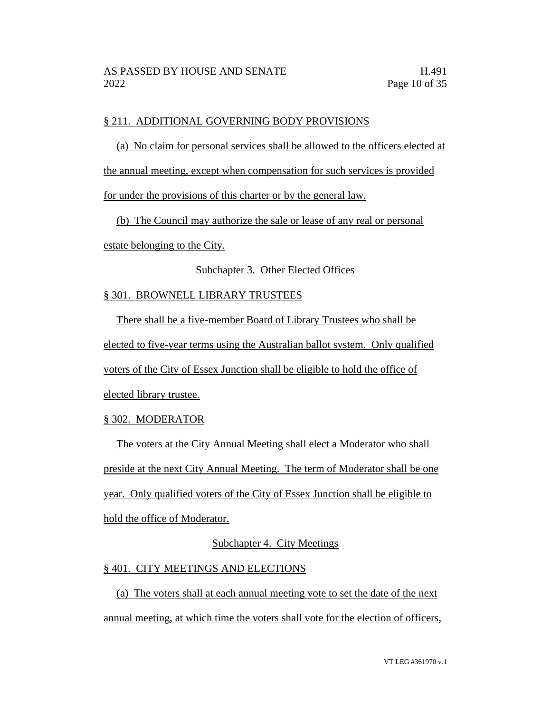### § 211. ADDITIONAL GOVERNING BODY PROVISIONS

(a) No claim for personal services shall be allowed to the officers elected at the annual meeting, except when compensation for such services is provided

for under the provisions of this charter or by the general law.

(b) The Council may authorize the sale or lease of any real or personal

estate belonging to the City.

### Subchapter 3. Other Elected Offices

### § 301. BROWNELL LIBRARY TRUSTEES

There shall be a five-member Board of Library Trustees who shall be elected to five-year terms using the Australian ballot system. Only qualified voters of the City of Essex Junction shall be eligible to hold the office of elected library trustee.

# § 302. MODERATOR

The voters at the City Annual Meeting shall elect a Moderator who shall preside at the next City Annual Meeting. The term of Moderator shall be one year. Only qualified voters of the City of Essex Junction shall be eligible to hold the office of Moderator.

# Subchapter 4. City Meetings

### § 401. CITY MEETINGS AND ELECTIONS

(a) The voters shall at each annual meeting vote to set the date of the next annual meeting, at which time the voters shall vote for the election of officers,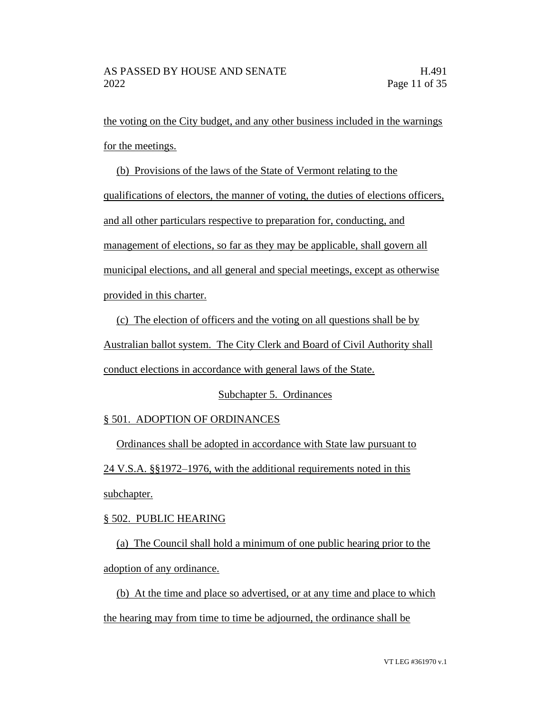the voting on the City budget, and any other business included in the warnings for the meetings.

(b) Provisions of the laws of the State of Vermont relating to the

qualifications of electors, the manner of voting, the duties of elections officers,

and all other particulars respective to preparation for, conducting, and

management of elections, so far as they may be applicable, shall govern all

municipal elections, and all general and special meetings, except as otherwise

provided in this charter.

(c) The election of officers and the voting on all questions shall be by Australian ballot system. The City Clerk and Board of Civil Authority shall conduct elections in accordance with general laws of the State.

# Subchapter 5. Ordinances

# § 501. ADOPTION OF ORDINANCES

Ordinances shall be adopted in accordance with State law pursuant to 24 V.S.A. §§1972–1976, with the additional requirements noted in this subchapter.

# § 502. PUBLIC HEARING

(a) The Council shall hold a minimum of one public hearing prior to the adoption of any ordinance.

(b) At the time and place so advertised, or at any time and place to which the hearing may from time to time be adjourned, the ordinance shall be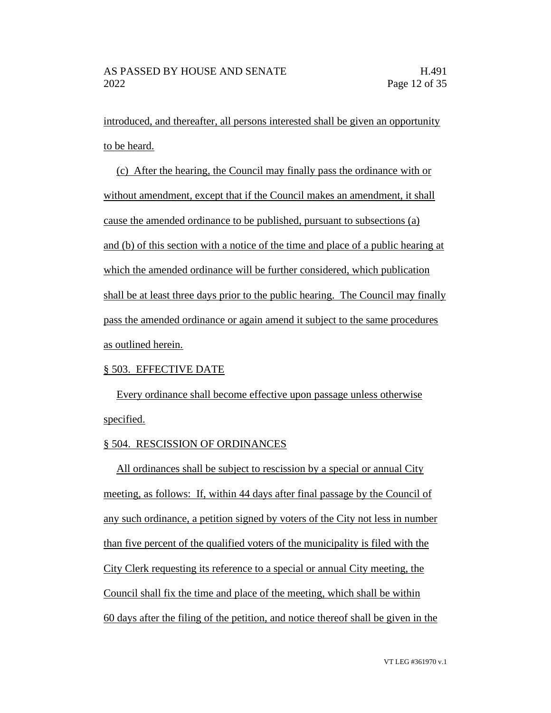introduced, and thereafter, all persons interested shall be given an opportunity to be heard.

(c) After the hearing, the Council may finally pass the ordinance with or without amendment, except that if the Council makes an amendment, it shall cause the amended ordinance to be published, pursuant to subsections (a) and (b) of this section with a notice of the time and place of a public hearing at which the amended ordinance will be further considered, which publication shall be at least three days prior to the public hearing. The Council may finally pass the amended ordinance or again amend it subject to the same procedures as outlined herein.

### § 503. EFFECTIVE DATE

Every ordinance shall become effective upon passage unless otherwise specified.

### § 504. RESCISSION OF ORDINANCES

All ordinances shall be subject to rescission by a special or annual City meeting, as follows: If, within 44 days after final passage by the Council of any such ordinance, a petition signed by voters of the City not less in number than five percent of the qualified voters of the municipality is filed with the City Clerk requesting its reference to a special or annual City meeting, the Council shall fix the time and place of the meeting, which shall be within 60 days after the filing of the petition, and notice thereof shall be given in the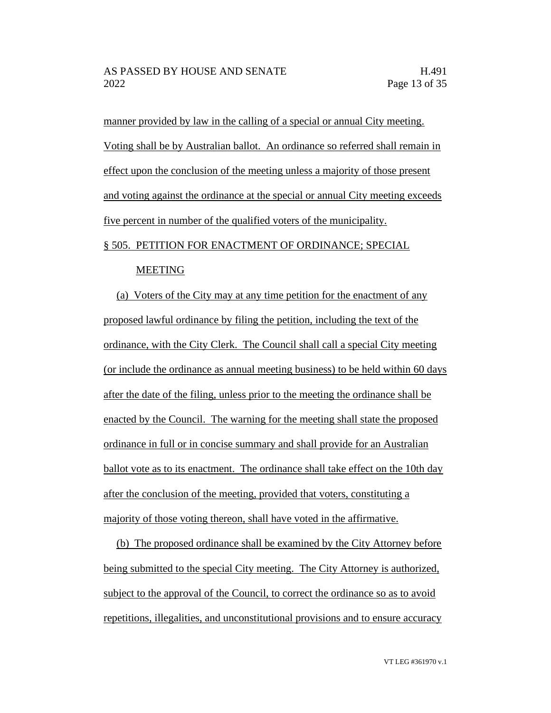manner provided by law in the calling of a special or annual City meeting. Voting shall be by Australian ballot. An ordinance so referred shall remain in effect upon the conclusion of the meeting unless a majority of those present and voting against the ordinance at the special or annual City meeting exceeds five percent in number of the qualified voters of the municipality.

# § 505. PETITION FOR ENACTMENT OF ORDINANCE; SPECIAL

#### MEETING

(a) Voters of the City may at any time petition for the enactment of any proposed lawful ordinance by filing the petition, including the text of the ordinance, with the City Clerk. The Council shall call a special City meeting (or include the ordinance as annual meeting business) to be held within 60 days after the date of the filing, unless prior to the meeting the ordinance shall be enacted by the Council. The warning for the meeting shall state the proposed ordinance in full or in concise summary and shall provide for an Australian ballot vote as to its enactment. The ordinance shall take effect on the 10th day after the conclusion of the meeting, provided that voters, constituting a majority of those voting thereon, shall have voted in the affirmative.

(b) The proposed ordinance shall be examined by the City Attorney before being submitted to the special City meeting. The City Attorney is authorized, subject to the approval of the Council, to correct the ordinance so as to avoid repetitions, illegalities, and unconstitutional provisions and to ensure accuracy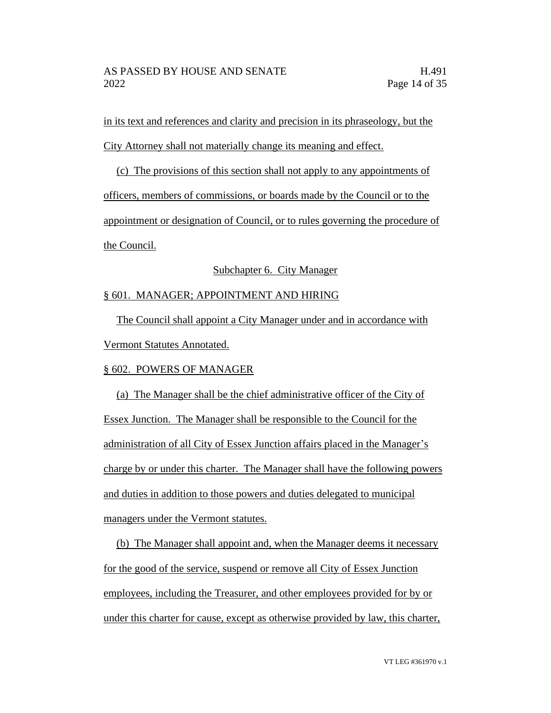in its text and references and clarity and precision in its phraseology, but the City Attorney shall not materially change its meaning and effect.

(c) The provisions of this section shall not apply to any appointments of officers, members of commissions, or boards made by the Council or to the appointment or designation of Council, or to rules governing the procedure of the Council.

# Subchapter 6. City Manager

# § 601. MANAGER; APPOINTMENT AND HIRING

The Council shall appoint a City Manager under and in accordance with Vermont Statutes Annotated.

# § 602. POWERS OF MANAGER

(a) The Manager shall be the chief administrative officer of the City of Essex Junction. The Manager shall be responsible to the Council for the administration of all City of Essex Junction affairs placed in the Manager's charge by or under this charter. The Manager shall have the following powers and duties in addition to those powers and duties delegated to municipal managers under the Vermont statutes.

(b) The Manager shall appoint and, when the Manager deems it necessary for the good of the service, suspend or remove all City of Essex Junction employees, including the Treasurer, and other employees provided for by or under this charter for cause, except as otherwise provided by law, this charter,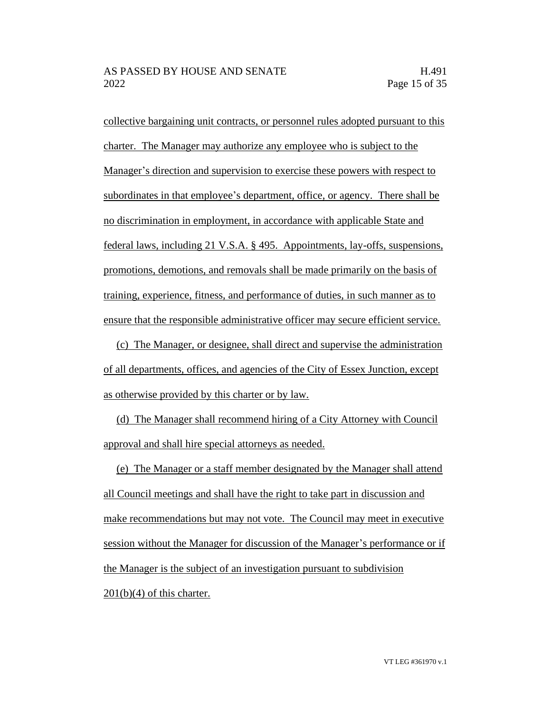collective bargaining unit contracts, or personnel rules adopted pursuant to this charter. The Manager may authorize any employee who is subject to the Manager's direction and supervision to exercise these powers with respect to subordinates in that employee's department, office, or agency. There shall be no discrimination in employment, in accordance with applicable State and federal laws, including 21 V.S.A. § 495. Appointments, lay-offs, suspensions, promotions, demotions, and removals shall be made primarily on the basis of training, experience, fitness, and performance of duties, in such manner as to ensure that the responsible administrative officer may secure efficient service.

(c) The Manager, or designee, shall direct and supervise the administration of all departments, offices, and agencies of the City of Essex Junction, except as otherwise provided by this charter or by law.

(d) The Manager shall recommend hiring of a City Attorney with Council approval and shall hire special attorneys as needed.

(e) The Manager or a staff member designated by the Manager shall attend all Council meetings and shall have the right to take part in discussion and make recommendations but may not vote. The Council may meet in executive session without the Manager for discussion of the Manager's performance or if the Manager is the subject of an investigation pursuant to subdivision  $201(b)(4)$  of this charter.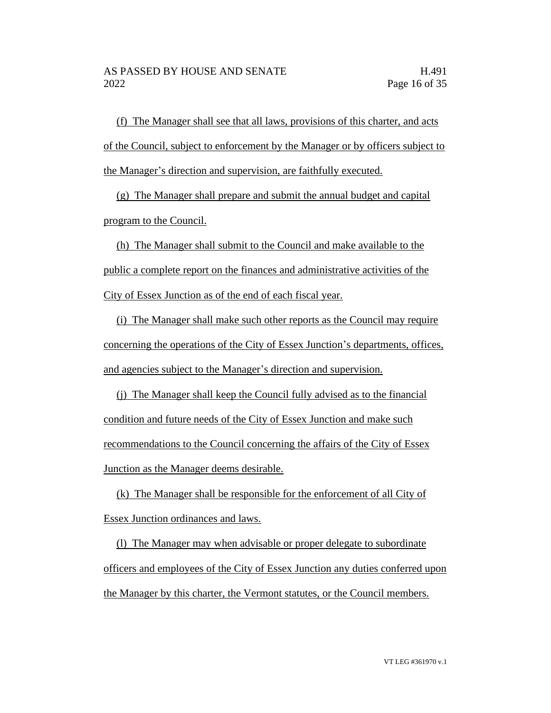(f) The Manager shall see that all laws, provisions of this charter, and acts of the Council, subject to enforcement by the Manager or by officers subject to the Manager's direction and supervision, are faithfully executed.

(g) The Manager shall prepare and submit the annual budget and capital program to the Council.

(h) The Manager shall submit to the Council and make available to the public a complete report on the finances and administrative activities of the City of Essex Junction as of the end of each fiscal year.

(i) The Manager shall make such other reports as the Council may require concerning the operations of the City of Essex Junction's departments, offices, and agencies subject to the Manager's direction and supervision.

(j) The Manager shall keep the Council fully advised as to the financial condition and future needs of the City of Essex Junction and make such recommendations to the Council concerning the affairs of the City of Essex Junction as the Manager deems desirable.

(k) The Manager shall be responsible for the enforcement of all City of Essex Junction ordinances and laws.

(l) The Manager may when advisable or proper delegate to subordinate officers and employees of the City of Essex Junction any duties conferred upon the Manager by this charter, the Vermont statutes, or the Council members.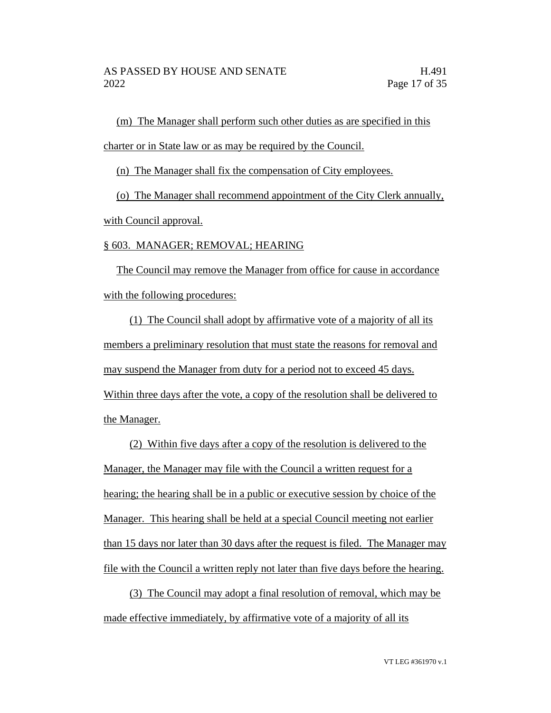(m) The Manager shall perform such other duties as are specified in this charter or in State law or as may be required by the Council.

(n) The Manager shall fix the compensation of City employees.

(o) The Manager shall recommend appointment of the City Clerk annually, with Council approval.

### § 603. MANAGER; REMOVAL; HEARING

The Council may remove the Manager from office for cause in accordance with the following procedures:

(1) The Council shall adopt by affirmative vote of a majority of all its members a preliminary resolution that must state the reasons for removal and may suspend the Manager from duty for a period not to exceed 45 days. Within three days after the vote, a copy of the resolution shall be delivered to the Manager.

(2) Within five days after a copy of the resolution is delivered to the Manager, the Manager may file with the Council a written request for a hearing; the hearing shall be in a public or executive session by choice of the Manager. This hearing shall be held at a special Council meeting not earlier than 15 days nor later than 30 days after the request is filed. The Manager may file with the Council a written reply not later than five days before the hearing.

(3) The Council may adopt a final resolution of removal, which may be made effective immediately, by affirmative vote of a majority of all its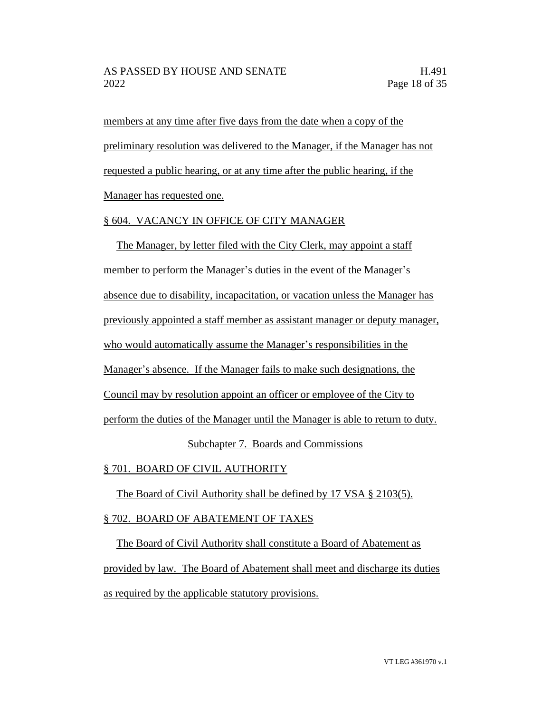members at any time after five days from the date when a copy of the preliminary resolution was delivered to the Manager, if the Manager has not requested a public hearing, or at any time after the public hearing, if the Manager has requested one.

### § 604. VACANCY IN OFFICE OF CITY MANAGER

The Manager, by letter filed with the City Clerk, may appoint a staff member to perform the Manager's duties in the event of the Manager's absence due to disability, incapacitation, or vacation unless the Manager has previously appointed a staff member as assistant manager or deputy manager, who would automatically assume the Manager's responsibilities in the Manager's absence. If the Manager fails to make such designations, the Council may by resolution appoint an officer or employee of the City to perform the duties of the Manager until the Manager is able to return to duty. Subchapter 7. Boards and Commissions

§ 701. BOARD OF CIVIL AUTHORITY

The Board of Civil Authority shall be defined by 17 VSA § 2103(5).

# § 702. BOARD OF ABATEMENT OF TAXES

The Board of Civil Authority shall constitute a Board of Abatement as provided by law. The Board of Abatement shall meet and discharge its duties as required by the applicable statutory provisions.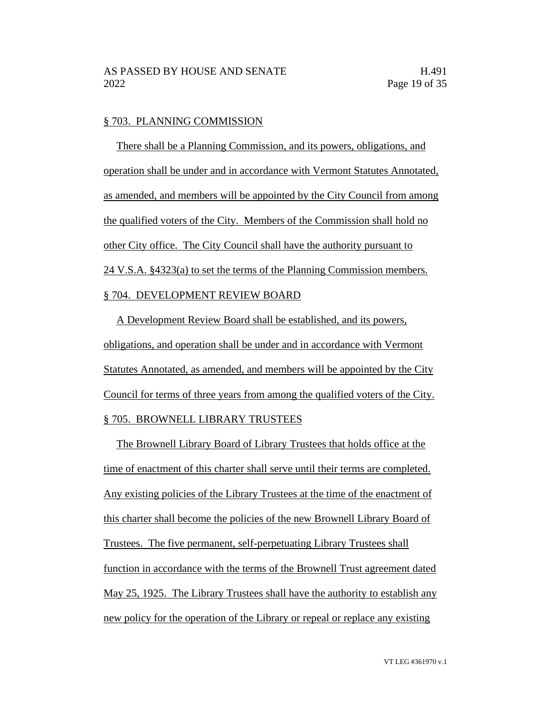#### § 703. PLANNING COMMISSION

There shall be a Planning Commission, and its powers, obligations, and operation shall be under and in accordance with Vermont Statutes Annotated, as amended, and members will be appointed by the City Council from among the qualified voters of the City. Members of the Commission shall hold no other City office. The City Council shall have the authority pursuant to 24 V.S.A. §4323(a) to set the terms of the Planning Commission members. § 704. DEVELOPMENT REVIEW BOARD

A Development Review Board shall be established, and its powers, obligations, and operation shall be under and in accordance with Vermont Statutes Annotated, as amended, and members will be appointed by the City Council for terms of three years from among the qualified voters of the City. § 705. BROWNELL LIBRARY TRUSTEES

The Brownell Library Board of Library Trustees that holds office at the time of enactment of this charter shall serve until their terms are completed. Any existing policies of the Library Trustees at the time of the enactment of this charter shall become the policies of the new Brownell Library Board of Trustees. The five permanent, self-perpetuating Library Trustees shall function in accordance with the terms of the Brownell Trust agreement dated May 25, 1925. The Library Trustees shall have the authority to establish any new policy for the operation of the Library or repeal or replace any existing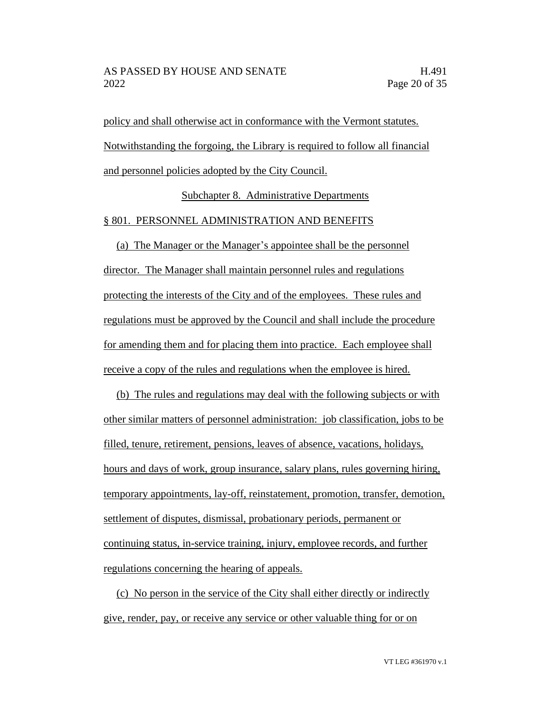policy and shall otherwise act in conformance with the Vermont statutes. Notwithstanding the forgoing, the Library is required to follow all financial and personnel policies adopted by the City Council.

Subchapter 8. Administrative Departments

#### § 801. PERSONNEL ADMINISTRATION AND BENEFITS

(a) The Manager or the Manager's appointee shall be the personnel director. The Manager shall maintain personnel rules and regulations protecting the interests of the City and of the employees. These rules and regulations must be approved by the Council and shall include the procedure for amending them and for placing them into practice. Each employee shall receive a copy of the rules and regulations when the employee is hired.

(b) The rules and regulations may deal with the following subjects or with other similar matters of personnel administration: job classification, jobs to be filled, tenure, retirement, pensions, leaves of absence, vacations, holidays, hours and days of work, group insurance, salary plans, rules governing hiring, temporary appointments, lay-off, reinstatement, promotion, transfer, demotion, settlement of disputes, dismissal, probationary periods, permanent or continuing status, in-service training, injury, employee records, and further regulations concerning the hearing of appeals.

(c) No person in the service of the City shall either directly or indirectly give, render, pay, or receive any service or other valuable thing for or on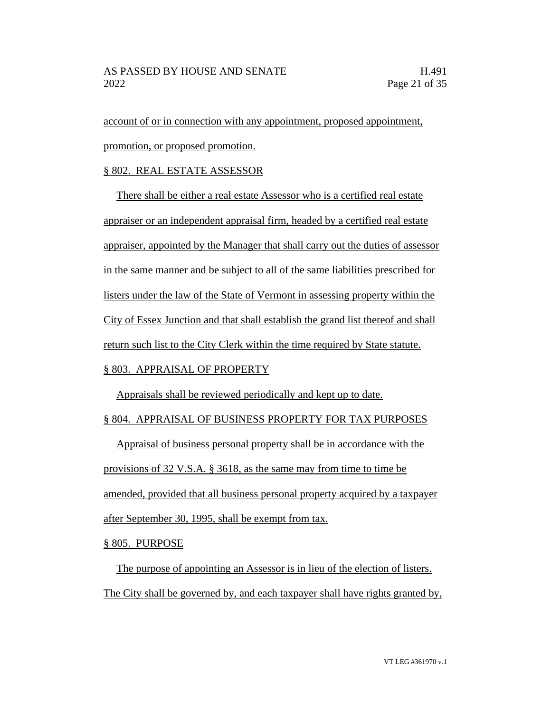account of or in connection with any appointment, proposed appointment, promotion, or proposed promotion.

### § 802. REAL ESTATE ASSESSOR

There shall be either a real estate Assessor who is a certified real estate appraiser or an independent appraisal firm, headed by a certified real estate appraiser, appointed by the Manager that shall carry out the duties of assessor in the same manner and be subject to all of the same liabilities prescribed for listers under the law of the State of Vermont in assessing property within the City of Essex Junction and that shall establish the grand list thereof and shall return such list to the City Clerk within the time required by State statute.

# § 803. APPRAISAL OF PROPERTY

Appraisals shall be reviewed periodically and kept up to date.

# § 804. APPRAISAL OF BUSINESS PROPERTY FOR TAX PURPOSES

Appraisal of business personal property shall be in accordance with the provisions of 32 V.S.A. § 3618, as the same may from time to time be amended, provided that all business personal property acquired by a taxpayer after September 30, 1995, shall be exempt from tax.

§ 805. PURPOSE

The purpose of appointing an Assessor is in lieu of the election of listers. The City shall be governed by, and each taxpayer shall have rights granted by,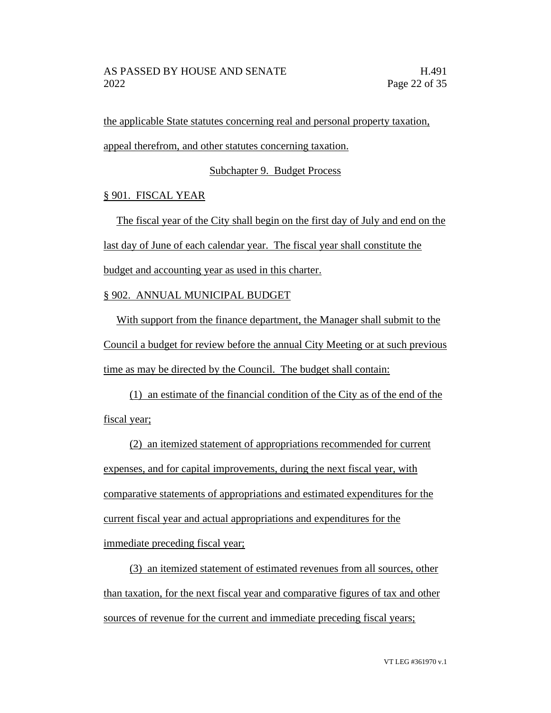the applicable State statutes concerning real and personal property taxation, appeal therefrom, and other statutes concerning taxation.

Subchapter 9. Budget Process

# § 901. FISCAL YEAR

The fiscal year of the City shall begin on the first day of July and end on the last day of June of each calendar year. The fiscal year shall constitute the budget and accounting year as used in this charter.

# § 902. ANNUAL MUNICIPAL BUDGET

With support from the finance department, the Manager shall submit to the Council a budget for review before the annual City Meeting or at such previous time as may be directed by the Council. The budget shall contain:

(1) an estimate of the financial condition of the City as of the end of the fiscal year;

(2) an itemized statement of appropriations recommended for current expenses, and for capital improvements, during the next fiscal year, with comparative statements of appropriations and estimated expenditures for the current fiscal year and actual appropriations and expenditures for the immediate preceding fiscal year;

(3) an itemized statement of estimated revenues from all sources, other than taxation, for the next fiscal year and comparative figures of tax and other sources of revenue for the current and immediate preceding fiscal years;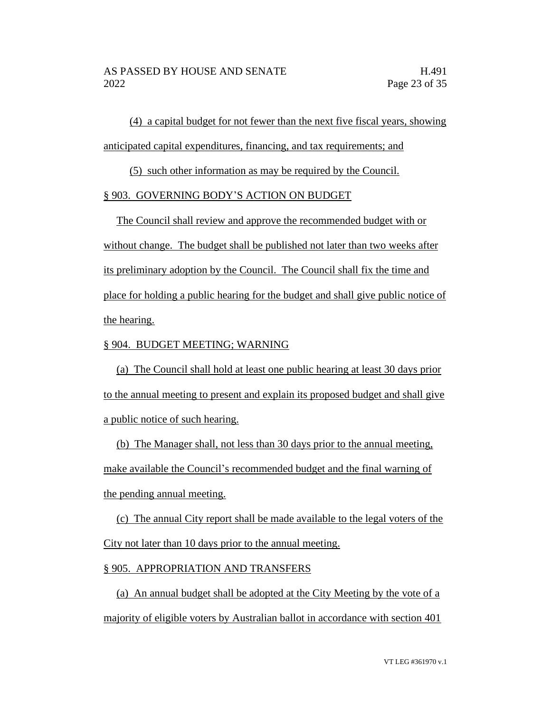(4) a capital budget for not fewer than the next five fiscal years, showing anticipated capital expenditures, financing, and tax requirements; and

(5) such other information as may be required by the Council.

### § 903. GOVERNING BODY'S ACTION ON BUDGET

The Council shall review and approve the recommended budget with or without change. The budget shall be published not later than two weeks after its preliminary adoption by the Council. The Council shall fix the time and place for holding a public hearing for the budget and shall give public notice of the hearing.

### § 904. BUDGET MEETING; WARNING

(a) The Council shall hold at least one public hearing at least 30 days prior to the annual meeting to present and explain its proposed budget and shall give a public notice of such hearing.

(b) The Manager shall, not less than 30 days prior to the annual meeting, make available the Council's recommended budget and the final warning of the pending annual meeting.

(c) The annual City report shall be made available to the legal voters of the City not later than 10 days prior to the annual meeting.

#### § 905. APPROPRIATION AND TRANSFERS

(a) An annual budget shall be adopted at the City Meeting by the vote of a majority of eligible voters by Australian ballot in accordance with section 401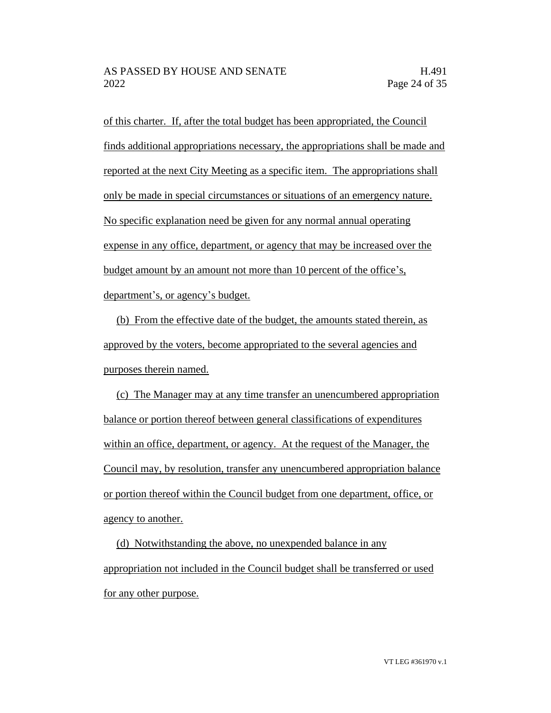of this charter. If, after the total budget has been appropriated, the Council finds additional appropriations necessary, the appropriations shall be made and reported at the next City Meeting as a specific item. The appropriations shall only be made in special circumstances or situations of an emergency nature. No specific explanation need be given for any normal annual operating expense in any office, department, or agency that may be increased over the budget amount by an amount not more than 10 percent of the office's, department's, or agency's budget.

(b) From the effective date of the budget, the amounts stated therein, as approved by the voters, become appropriated to the several agencies and purposes therein named.

(c) The Manager may at any time transfer an unencumbered appropriation balance or portion thereof between general classifications of expenditures within an office, department, or agency. At the request of the Manager, the Council may, by resolution, transfer any unencumbered appropriation balance or portion thereof within the Council budget from one department, office, or agency to another.

(d) Notwithstanding the above, no unexpended balance in any appropriation not included in the Council budget shall be transferred or used for any other purpose.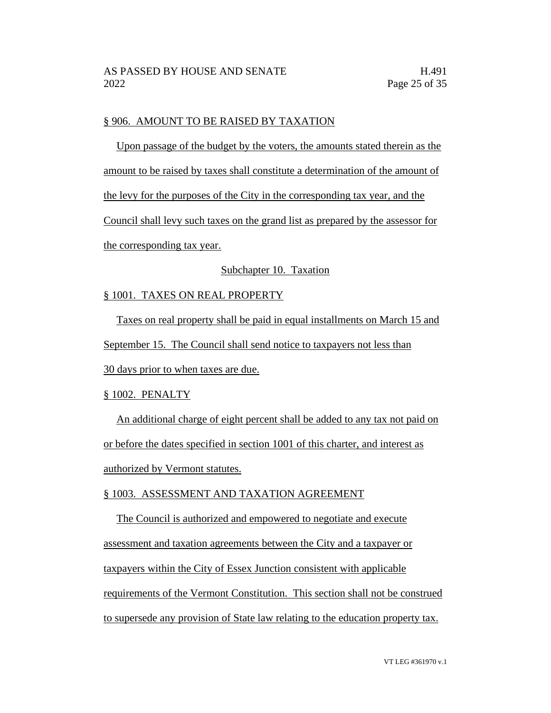### § 906. AMOUNT TO BE RAISED BY TAXATION

Upon passage of the budget by the voters, the amounts stated therein as the amount to be raised by taxes shall constitute a determination of the amount of the levy for the purposes of the City in the corresponding tax year, and the Council shall levy such taxes on the grand list as prepared by the assessor for the corresponding tax year.

### Subchapter 10. Taxation

### § 1001. TAXES ON REAL PROPERTY

Taxes on real property shall be paid in equal installments on March 15 and

September 15. The Council shall send notice to taxpayers not less than

30 days prior to when taxes are due.

#### § 1002. PENALTY

An additional charge of eight percent shall be added to any tax not paid on or before the dates specified in section 1001 of this charter, and interest as authorized by Vermont statutes.

### § 1003. ASSESSMENT AND TAXATION AGREEMENT

The Council is authorized and empowered to negotiate and execute assessment and taxation agreements between the City and a taxpayer or taxpayers within the City of Essex Junction consistent with applicable requirements of the Vermont Constitution. This section shall not be construed to supersede any provision of State law relating to the education property tax.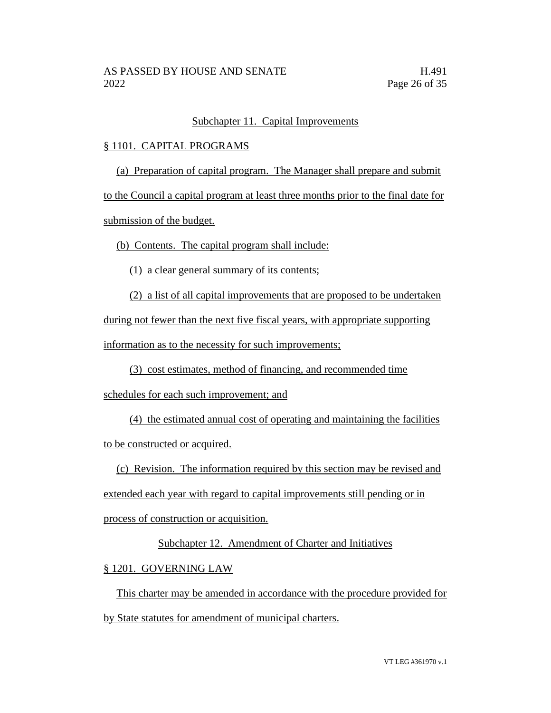# Subchapter 11. Capital Improvements

### § 1101. CAPITAL PROGRAMS

(a) Preparation of capital program. The Manager shall prepare and submit

to the Council a capital program at least three months prior to the final date for

submission of the budget.

(b) Contents. The capital program shall include:

(1) a clear general summary of its contents;

(2) a list of all capital improvements that are proposed to be undertaken during not fewer than the next five fiscal years, with appropriate supporting information as to the necessity for such improvements;

(3) cost estimates, method of financing, and recommended time

schedules for each such improvement; and

(4) the estimated annual cost of operating and maintaining the facilities to be constructed or acquired.

(c) Revision. The information required by this section may be revised and

extended each year with regard to capital improvements still pending or in

process of construction or acquisition.

# Subchapter 12. Amendment of Charter and Initiatives

# § 1201. GOVERNING LAW

This charter may be amended in accordance with the procedure provided for by State statutes for amendment of municipal charters.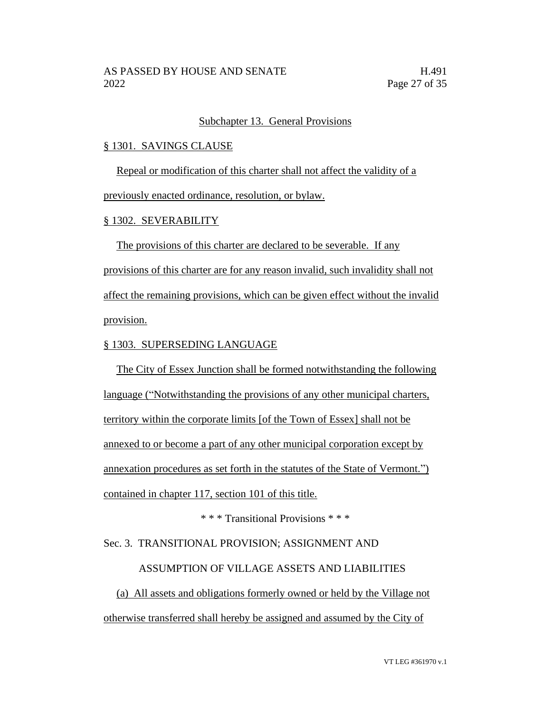### Subchapter 13. General Provisions

#### § 1301. SAVINGS CLAUSE

Repeal or modification of this charter shall not affect the validity of a

previously enacted ordinance, resolution, or bylaw.

### § 1302. SEVERABILITY

The provisions of this charter are declared to be severable. If any provisions of this charter are for any reason invalid, such invalidity shall not affect the remaining provisions, which can be given effect without the invalid provision.

### § 1303. SUPERSEDING LANGUAGE

The City of Essex Junction shall be formed notwithstanding the following language ("Notwithstanding the provisions of any other municipal charters, territory within the corporate limits [of the Town of Essex] shall not be annexed to or become a part of any other municipal corporation except by annexation procedures as set forth in the statutes of the State of Vermont.") contained in chapter 117, section 101 of this title.

\* \* \* Transitional Provisions \* \* \*

### Sec. 3. TRANSITIONAL PROVISION; ASSIGNMENT AND

### ASSUMPTION OF VILLAGE ASSETS AND LIABILITIES

(a) All assets and obligations formerly owned or held by the Village not otherwise transferred shall hereby be assigned and assumed by the City of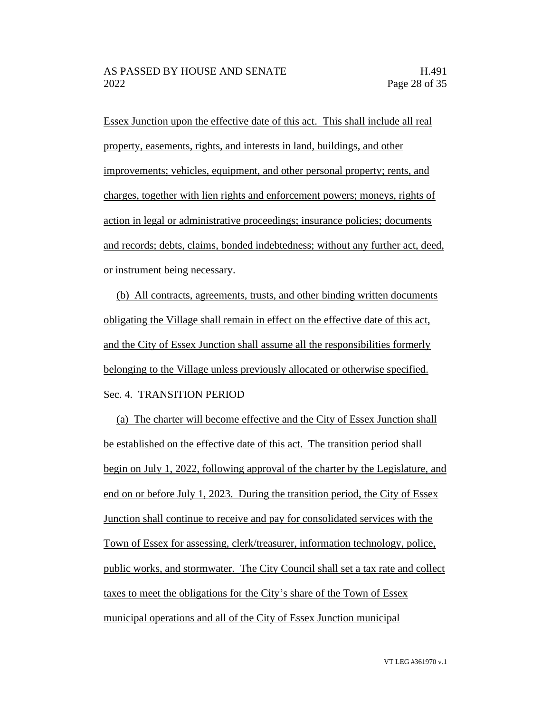Essex Junction upon the effective date of this act. This shall include all real property, easements, rights, and interests in land, buildings, and other improvements; vehicles, equipment, and other personal property; rents, and charges, together with lien rights and enforcement powers; moneys, rights of action in legal or administrative proceedings; insurance policies; documents and records; debts, claims, bonded indebtedness; without any further act, deed, or instrument being necessary.

(b) All contracts, agreements, trusts, and other binding written documents obligating the Village shall remain in effect on the effective date of this act, and the City of Essex Junction shall assume all the responsibilities formerly belonging to the Village unless previously allocated or otherwise specified. Sec. 4. TRANSITION PERIOD

(a) The charter will become effective and the City of Essex Junction shall be established on the effective date of this act. The transition period shall begin on July 1, 2022, following approval of the charter by the Legislature, and end on or before July 1, 2023. During the transition period, the City of Essex Junction shall continue to receive and pay for consolidated services with the Town of Essex for assessing, clerk/treasurer, information technology, police, public works, and stormwater. The City Council shall set a tax rate and collect taxes to meet the obligations for the City's share of the Town of Essex municipal operations and all of the City of Essex Junction municipal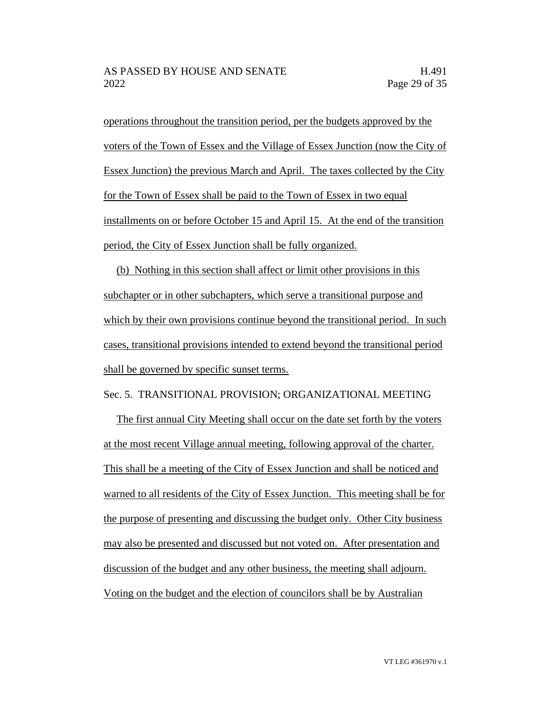operations throughout the transition period, per the budgets approved by the voters of the Town of Essex and the Village of Essex Junction (now the City of Essex Junction) the previous March and April. The taxes collected by the City for the Town of Essex shall be paid to the Town of Essex in two equal installments on or before October 15 and April 15. At the end of the transition period, the City of Essex Junction shall be fully organized.

(b) Nothing in this section shall affect or limit other provisions in this subchapter or in other subchapters, which serve a transitional purpose and which by their own provisions continue beyond the transitional period. In such cases, transitional provisions intended to extend beyond the transitional period shall be governed by specific sunset terms.

Sec. 5. TRANSITIONAL PROVISION; ORGANIZATIONAL MEETING

The first annual City Meeting shall occur on the date set forth by the voters at the most recent Village annual meeting, following approval of the charter. This shall be a meeting of the City of Essex Junction and shall be noticed and warned to all residents of the City of Essex Junction. This meeting shall be for the purpose of presenting and discussing the budget only. Other City business may also be presented and discussed but not voted on. After presentation and discussion of the budget and any other business, the meeting shall adjourn. Voting on the budget and the election of councilors shall be by Australian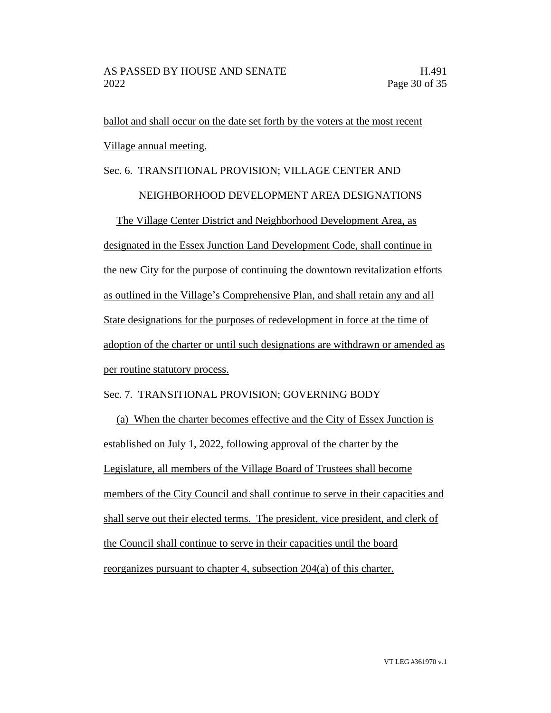ballot and shall occur on the date set forth by the voters at the most recent Village annual meeting.

# Sec. 6. TRANSITIONAL PROVISION; VILLAGE CENTER AND

### NEIGHBORHOOD DEVELOPMENT AREA DESIGNATIONS

The Village Center District and Neighborhood Development Area, as designated in the Essex Junction Land Development Code, shall continue in the new City for the purpose of continuing the downtown revitalization efforts as outlined in the Village's Comprehensive Plan, and shall retain any and all State designations for the purposes of redevelopment in force at the time of adoption of the charter or until such designations are withdrawn or amended as per routine statutory process.

# Sec. 7. TRANSITIONAL PROVISION; GOVERNING BODY

(a) When the charter becomes effective and the City of Essex Junction is established on July 1, 2022, following approval of the charter by the Legislature, all members of the Village Board of Trustees shall become members of the City Council and shall continue to serve in their capacities and shall serve out their elected terms. The president, vice president, and clerk of the Council shall continue to serve in their capacities until the board reorganizes pursuant to chapter 4, subsection 204(a) of this charter.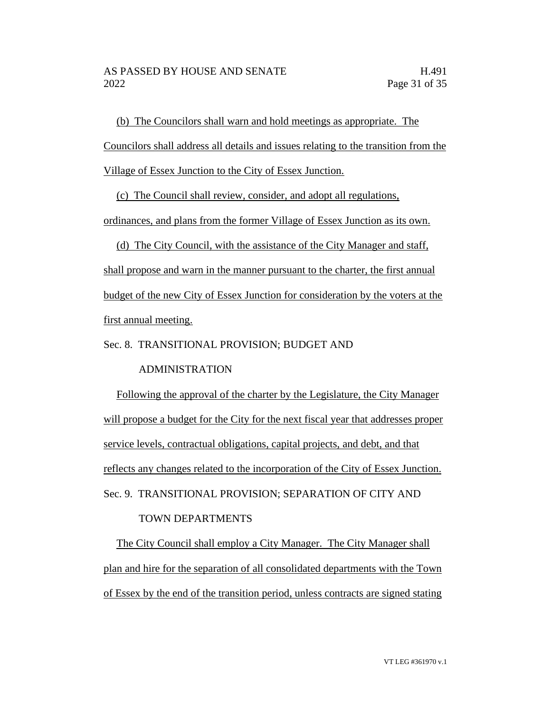(b) The Councilors shall warn and hold meetings as appropriate. The Councilors shall address all details and issues relating to the transition from the Village of Essex Junction to the City of Essex Junction.

(c) The Council shall review, consider, and adopt all regulations,

ordinances, and plans from the former Village of Essex Junction as its own.

(d) The City Council, with the assistance of the City Manager and staff, shall propose and warn in the manner pursuant to the charter, the first annual budget of the new City of Essex Junction for consideration by the voters at the first annual meeting.

Sec. 8. TRANSITIONAL PROVISION; BUDGET AND

ADMINISTRATION

Following the approval of the charter by the Legislature, the City Manager will propose a budget for the City for the next fiscal year that addresses proper service levels, contractual obligations, capital projects, and debt, and that reflects any changes related to the incorporation of the City of Essex Junction. Sec. 9. TRANSITIONAL PROVISION; SEPARATION OF CITY AND

# TOWN DEPARTMENTS

The City Council shall employ a City Manager. The City Manager shall plan and hire for the separation of all consolidated departments with the Town of Essex by the end of the transition period, unless contracts are signed stating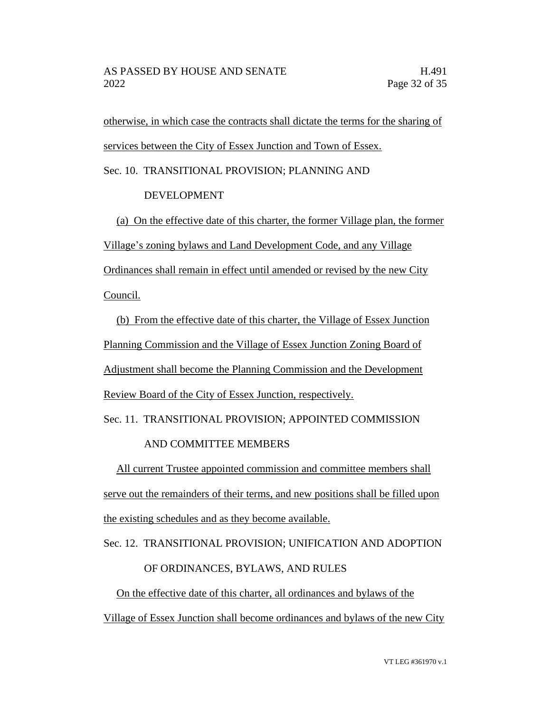otherwise, in which case the contracts shall dictate the terms for the sharing of services between the City of Essex Junction and Town of Essex.

Sec. 10. TRANSITIONAL PROVISION; PLANNING AND

# DEVELOPMENT

(a) On the effective date of this charter, the former Village plan, the former Village's zoning bylaws and Land Development Code, and any Village Ordinances shall remain in effect until amended or revised by the new City Council.

(b) From the effective date of this charter, the Village of Essex Junction Planning Commission and the Village of Essex Junction Zoning Board of Adjustment shall become the Planning Commission and the Development Review Board of the City of Essex Junction, respectively.

Sec. 11. TRANSITIONAL PROVISION; APPOINTED COMMISSION

# AND COMMITTEE MEMBERS

All current Trustee appointed commission and committee members shall serve out the remainders of their terms, and new positions shall be filled upon the existing schedules and as they become available.

Sec. 12. TRANSITIONAL PROVISION; UNIFICATION AND ADOPTION

# OF ORDINANCES, BYLAWS, AND RULES

On the effective date of this charter, all ordinances and bylaws of the Village of Essex Junction shall become ordinances and bylaws of the new City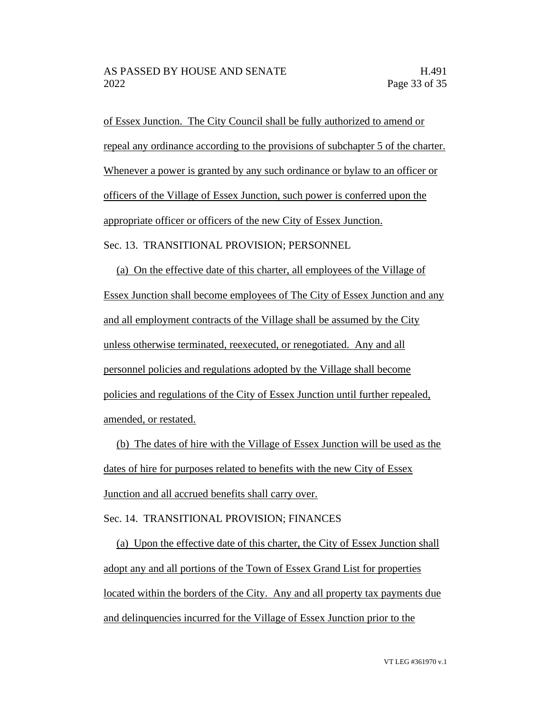of Essex Junction. The City Council shall be fully authorized to amend or repeal any ordinance according to the provisions of subchapter 5 of the charter. Whenever a power is granted by any such ordinance or bylaw to an officer or officers of the Village of Essex Junction, such power is conferred upon the appropriate officer or officers of the new City of Essex Junction. Sec. 13. TRANSITIONAL PROVISION; PERSONNEL

(a) On the effective date of this charter, all employees of the Village of Essex Junction shall become employees of The City of Essex Junction and any and all employment contracts of the Village shall be assumed by the City unless otherwise terminated, reexecuted, or renegotiated. Any and all personnel policies and regulations adopted by the Village shall become policies and regulations of the City of Essex Junction until further repealed, amended, or restated.

(b) The dates of hire with the Village of Essex Junction will be used as the dates of hire for purposes related to benefits with the new City of Essex Junction and all accrued benefits shall carry over.

Sec. 14. TRANSITIONAL PROVISION; FINANCES

(a) Upon the effective date of this charter, the City of Essex Junction shall adopt any and all portions of the Town of Essex Grand List for properties located within the borders of the City. Any and all property tax payments due and delinquencies incurred for the Village of Essex Junction prior to the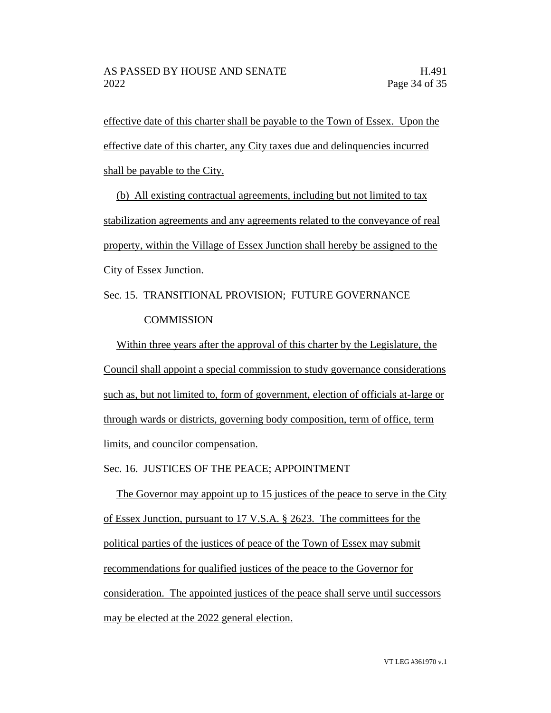effective date of this charter shall be payable to the Town of Essex. Upon the effective date of this charter, any City taxes due and delinquencies incurred shall be payable to the City.

(b) All existing contractual agreements, including but not limited to tax stabilization agreements and any agreements related to the conveyance of real property, within the Village of Essex Junction shall hereby be assigned to the City of Essex Junction.

Sec. 15. TRANSITIONAL PROVISION; FUTURE GOVERNANCE **COMMISSION** 

Within three years after the approval of this charter by the Legislature, the Council shall appoint a special commission to study governance considerations such as, but not limited to, form of government, election of officials at-large or through wards or districts, governing body composition, term of office, term limits, and councilor compensation.

Sec. 16. JUSTICES OF THE PEACE; APPOINTMENT

The Governor may appoint up to 15 justices of the peace to serve in the City of Essex Junction, pursuant to 17 V.S.A. § 2623. The committees for the political parties of the justices of peace of the Town of Essex may submit recommendations for qualified justices of the peace to the Governor for consideration. The appointed justices of the peace shall serve until successors may be elected at the 2022 general election.